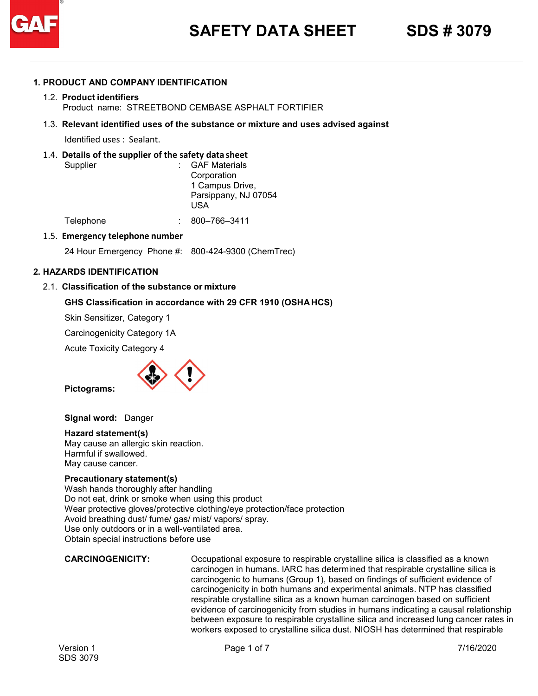

#### **1. PRODUCT AND COMPANY IDENTIFICATION**

#### 1.2. **Product identifiers** Product name: STREETBOND CEMBASE ASPHALT FORTIFIER

#### 1.3. **Relevant identified uses of the substance or mixture and uses advised against**

Identified uses : Sealant.

#### 1.4. **Details of the supplier of the safety data sheet**

| Supplier  | : GAF Materials<br>Corporation<br>1 Campus Drive,<br>Parsippany, NJ 07054 |
|-----------|---------------------------------------------------------------------------|
|           | USA                                                                       |
| Telephone | 800-766-3411                                                              |

#### 1.5. **Emergency telephone number**

24 Hour Emergency Phone #: 800-424-9300 (ChemTrec)

#### **2. HAZARDS IDENTIFICATION**

#### 2.1. **Classification of the substance or mixture**

#### **GHS Classification in accordance with 29 CFR 1910 (OSHA HCS)**

Skin Sensitizer, Category 1

Carcinogenicity Category 1A

Acute Toxicity Category 4



**Pictograms:**

**Signal word:** Danger

#### **Hazard statement(s)**

May cause an allergic skin reaction. Harmful if swallowed. May cause cancer.

#### **Precautionary statement(s)**

Wash hands thoroughly after handling Do not eat, drink or smoke when using this product Wear protective gloves/protective clothing/eye protection/face protection Avoid breathing dust/ fume/ gas/ mist/ vapors/ spray. Use only outdoors or in a well-ventilated area. Obtain special instructions before use

**CARCINOGENICITY:** Occupational exposure to respirable crystalline silica is classified as a known carcinogen in humans. IARC has determined that respirable crystalline silica is carcinogenic to humans (Group 1), based on findings of sufficient evidence of carcinogenicity in both humans and experimental animals. NTP has classified respirable crystalline silica as a known human carcinogen based on sufficient evidence of carcinogenicity from studies in humans indicating a causal relationship between exposure to respirable crystalline silica and increased lung cancer rates in workers exposed to crystalline silica dust. NIOSH has determined that respirable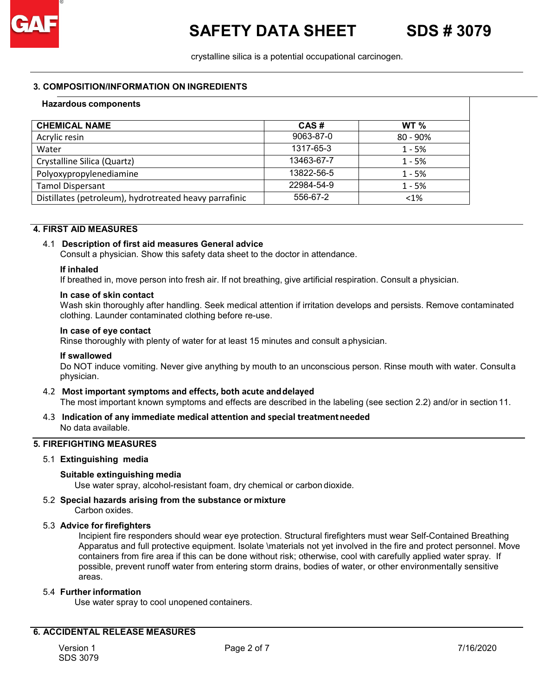crystalline silica is a potential occupational carcinogen.

#### **3. COMPOSITION/INFORMATION ON INGREDIENTS**

## Crystalline Silica (Quartz) 13463-67-7 1 - 5% Distillates (petroleum), hydrotreated heavy parrafinic  $\vert$  556-67-2  $\vert$  4% **Hazardous components CHEMICAL NAME CAS # WT %**<br>Acrylic resin **9063-87-0 80 - 909** Acrylic resin 80 - 90% 80 - 90% 80 - 90% 80 - 90% 80 - 90% 80 - 90% 80 - 90% 80 - 90% 80 - 90% 80 - 90% 80 - 9 Water 1317-65-3 2012 1317-65-3 2014 1317-65-3 2014 1-5% Polyoxypropylenediamine 13822-56-5 | 13822-56-5 Tamol Dispersant 1 - 5% 1 - 5%

## **4. FIRST AID MEASURES**

### 4.1 **Description of first aid measures General advice**

Consult a physician. Show this safety data sheet to the doctor in attendance.

#### **If inhaled**

If breathed in, move person into fresh air. If not breathing, give artificial respiration. Consult a physician.

#### **In case of skin contact**

Wash skin thoroughly after handling. Seek medical attention if irritation develops and persists. Remove contaminated clothing. Launder contaminated clothing before re-use.

#### **In case of eye contact**

Rinse thoroughly with plenty of water for at least 15 minutes and consult aphysician.

#### **If swallowed**

Do NOT induce vomiting. Never give anything by mouth to an unconscious person. Rinse mouth with water. Consulta physician.

#### 4.2 **Most important symptoms and effects, both acute anddelayed**

The most important known symptoms and effects are described in the labeling (see section 2.2) and/or in section 11.

#### 4.3 **Indication of any immediate medical attention and special treatmentneeded** No data available.

#### **5. FIREFIGHTING MEASURES**

#### 5.1 **Extinguishing media**

#### **Suitable extinguishing media**

Use water spray, alcohol-resistant foam, dry chemical or carbon dioxide.

#### 5.2 **Special hazards arising from the substance or mixture**

Carbon oxides.

#### 5.3 **Advice for firefighters**

Incipient fire responders should wear eye protection. Structural firefighters must wear Self-Contained Breathing Apparatus and full protective equipment. Isolate \materials not yet involved in the fire and protect personnel. Move containers from fire area if this can be done without risk; otherwise, cool with carefully applied water spray. If possible, prevent runoff water from entering storm drains, bodies of water, or other environmentally sensitive areas.

#### 5.4 **Further information**

Use water spray to cool unopened containers.

### **6. ACCIDENTAL RELEASE MEASURES**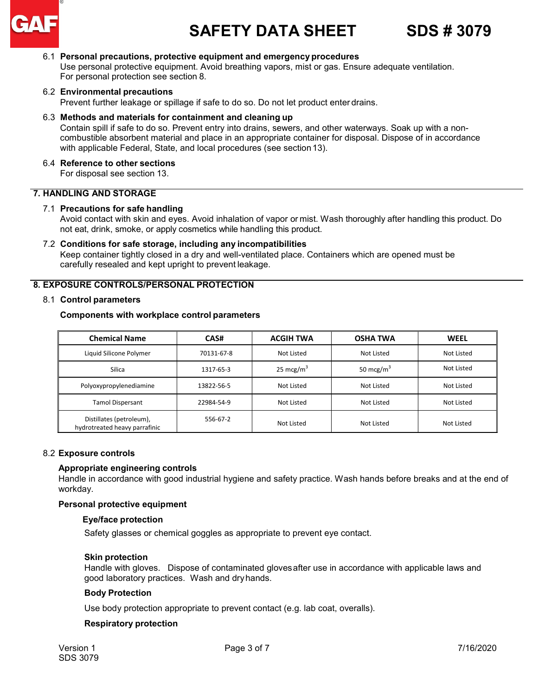

# **SAFETY DATA SHEET SDS # 3079**

#### 6.1 **Personal precautions, protective equipment and emergency procedures**

Use personal protective equipment. Avoid breathing vapors, mist or gas. Ensure adequate ventilation. For personal protection see section 8.

#### 6.2 **Environmental precautions**

Prevent further leakage or spillage if safe to do so. Do not let product enter drains.

#### 6.3 **Methods and materials for containment and cleaning up**

Contain spill if safe to do so. Prevent entry into drains, sewers, and other waterways. Soak up with a noncombustible absorbent material and place in an appropriate container for disposal. Dispose of in accordance with applicable Federal, State, and local procedures (see section13).

#### 6.4 **Reference to other sections**

For disposal see section 13.

#### **7. HANDLING AND STORAGE**

#### 7.1 **Precautions for safe handling**

Avoid contact with skin and eyes. Avoid inhalation of vapor or mist. Wash thoroughly after handling this product. Do not eat, drink, smoke, or apply cosmetics while handling this product.

#### 7.2 **Conditions for safe storage, including any incompatibilities**

Keep container tightly closed in a dry and well-ventilated place. Containers which are opened must be carefully resealed and kept upright to prevent leakage.

#### **8. EXPOSURE CONTROLS/PERSONAL PROTECTION**

#### 8.1 **Control parameters**

#### **Components with workplace control parameters**

| <b>Chemical Name</b>                                      | CAS#       | <b>ACGIH TWA</b> | <b>OSHA TWA</b> | <b>WEEL</b> |
|-----------------------------------------------------------|------------|------------------|-----------------|-------------|
| Liquid Silicone Polymer                                   | 70131-67-8 | Not Listed       | Not Listed      | Not Listed  |
| Silica                                                    | 1317-65-3  | 25 mcg/ $m3$     | 50 mcg/ $m3$    | Not Listed  |
| Polyoxypropylenediamine                                   | 13822-56-5 | Not Listed       | Not Listed      | Not Listed  |
| <b>Tamol Dispersant</b>                                   | 22984-54-9 | Not Listed       | Not Listed      | Not Listed  |
| Distillates (petroleum),<br>hydrotreated heavy parrafinic | 556-67-2   | Not Listed       | Not Listed      | Not Listed  |

#### 8.2 **Exposure controls**

#### **Appropriate engineering controls**

Handle in accordance with good industrial hygiene and safety practice. Wash hands before breaks and at the end of workday.

#### **Personal protective equipment**

#### **Eye/face protection**

Safety glasses or chemical goggles as appropriate to prevent eye contact.

#### **Skin protection**

Handle with gloves. Dispose of contaminated glovesafter use in accordance with applicable laws and good laboratory practices. Wash and dryhands.

#### **Body Protection**

Use body protection appropriate to prevent contact (e.g. lab coat, overalls).

#### **Respiratory protection**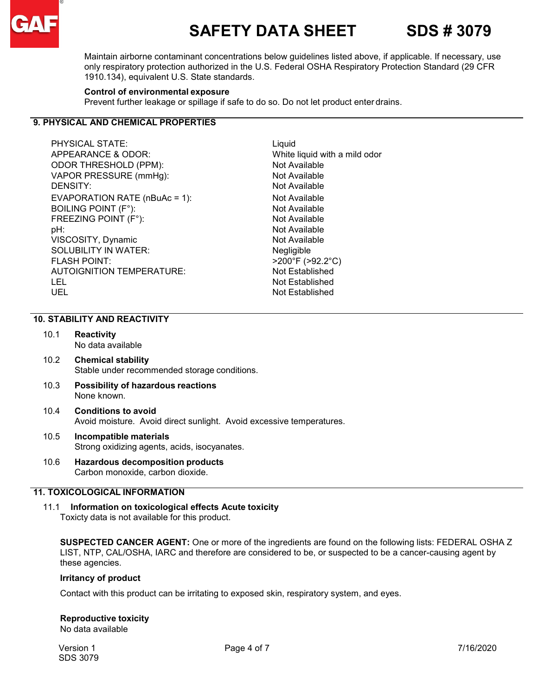

# **SAFETY DATA SHEET SDS # 3079**

Maintain airborne contaminant concentrations below guidelines listed above, if applicable. If necessary, use only respiratory protection authorized in the U.S. Federal OSHA Respiratory Protection Standard (29 CFR 1910.134), equivalent U.S. State standards.

#### **Control of environmental exposure**

Prevent further leakage or spillage if safe to do so. Do not let product enter drains.

#### **9. PHYSICAL AND CHEMICAL PROPERTIES**

PHYSICAL STATE: Liquid APPEARANCE & ODOR:<br>
ODOR THRESHOLD (PPM): White liquid with a mild odor<br>
Not Available ODOR THRESHOLD (PPM):<br>
VAPOR PRESSURE (mmHg): Not Available<br>
Not Available VAPOR PRESSURE (mmHg): DENSITY: Not Available EVAPORATION RATE (nBuAc = 1): Not Available BOILING POINT (F°):<br>
FREEZING POINT (F°):<br>
Not Available FREEZING POINT  $(F^{\circ})$ : pH: Not Available VISCOSITY, Dynamic Not Available SOLUBILITY IN WATER: Negligible FLASH POINT: >200°F (>92.2°C) AUTOIGNITION TEMPERATURE: Not Established UEL Not Established

**Not Established** 

#### **10. STABILITY AND REACTIVITY**

- 10.1 **Reactivity** No data available
- 10.2 **Chemical stability** Stable under recommended storage conditions.
- 10.3 **Possibility of hazardous reactions** None known.
- 10.4 **Conditions to avoid** Avoid moisture. Avoid direct sunlight. Avoid excessive temperatures.
- 10.5 **Incompatible materials** Strong oxidizing agents, acids, isocyanates.
- 10.6 **Hazardous decomposition products** Carbon monoxide, carbon dioxide.

#### **11. TOXICOLOGICAL INFORMATION**

11.1 **Information on toxicological effects Acute toxicity** Toxicty data is not available for this product.

**SUSPECTED CANCER AGENT:** One or more of the ingredients are found on the following lists: FEDERAL OSHA Z LIST, NTP, CAL/OSHA, IARC and therefore are considered to be, or suspected to be a cancer-causing agent by these agencies.

#### **Irritancy of product**

Contact with this product can be irritating to exposed skin, respiratory system, and eyes.

#### **Reproductive toxicity**

No data available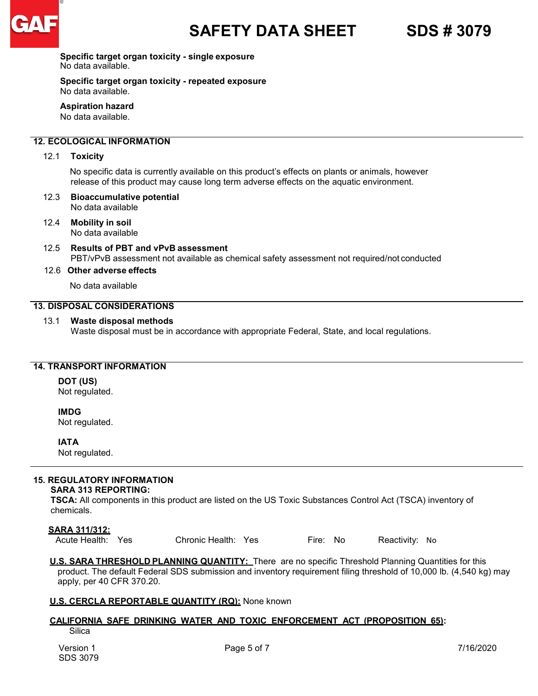

**Specific target organ toxicity - single exposure** No data available.

**Specific target organ toxicity - repeated exposure**  No data available.

**Aspiration hazard** No data available.

#### **12. ECOLOGICAL INFORMATION**

12.1 **Toxicity**

 No specific data is currently available on this product's effects on plants or animals, however release of this product may cause long term adverse effects on the aquatic environment.

- 12.3 **Bioaccumulative potential** No data available
- 12.4 **Mobility in soil** No data available
- 12.5 **Results of PBT and vPvB assessment** PBT/vPvB assessment not available as chemical safety assessment not required/not conducted
- 12.6 **Other adverse effects**

No data available

#### **13. DISPOSAL CONSIDERATIONS**

13.1 **Waste disposal methods** 

Waste disposal must be in accordance with appropriate Federal, State, and local regulations.

#### **14. TRANSPORT INFORMATION**

**DOT (US)**

Not regulated.

**IMDG**

Not regulated.

**IATA**

Not regulated.

#### **15. REGULATORY INFORMATION**

#### **SARA 313 REPORTING:**

**TSCA:** All components in this product are listed on the US Toxic Substances Control Act (TSCA) inventory of chemicals.

**SARA 311/312:**<br>Acute Health: Yes Chronic Health: Yes Fire: No Reactivity: No

**U.S. SARA THRESHOLD PLANNING QUANTITY:** There are no specific Threshold Planning Quantities for this product. The default Federal SDS submission and inventory requirement filing threshold of 10,000 lb. (4,540 kg) may apply, per 40 CFR 370.20.

#### **U.S. CERCLA REPORTABLE QUANTITY (RQ):** None known

### **CALIFORNIA SAFE DRINKING WATER AND TOXIC ENFORCEMENT ACT (PROPOSITION 65):**

**Silica**